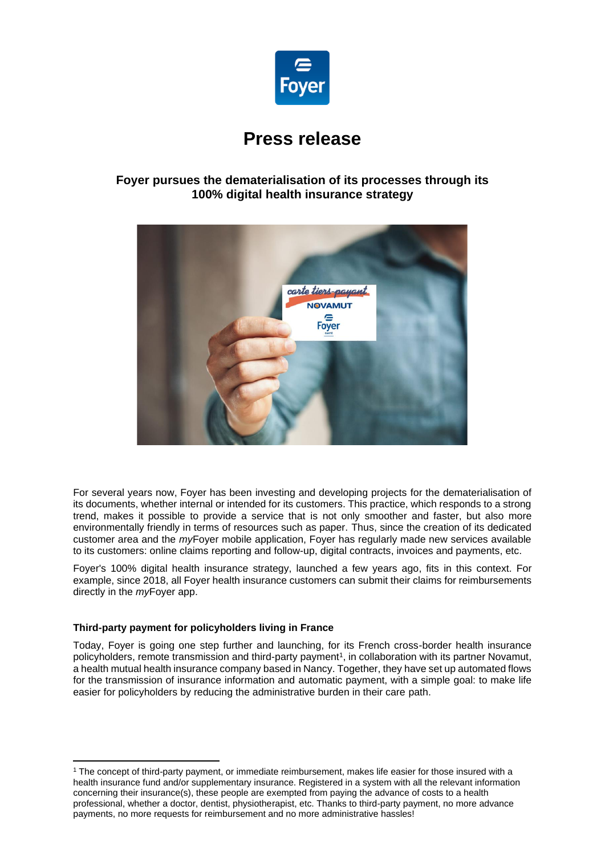

# **Press release**

# **Foyer pursues the dematerialisation of its processes through its 100% digital health insurance strategy**



For several years now, Foyer has been investing and developing projects for the dematerialisation of its documents, whether internal or intended for its customers. This practice, which responds to a strong trend, makes it possible to provide a service that is not only smoother and faster, but also more environmentally friendly in terms of resources such as paper. Thus, since the creation of its dedicated customer area and the *my*Foyer mobile application, Foyer has regularly made new services available to its customers: online claims reporting and follow-up, digital contracts, invoices and payments, etc.

Foyer's 100% digital health insurance strategy, launched a few years ago, fits in this context. For example, since 2018, all Foyer health insurance customers can submit their claims for reimbursements directly in the *my*Foyer app.

## **Third-party payment for policyholders living in France**

Today, Foyer is going one step further and launching, for its French cross-border health insurance policyholders, remote transmission and third-party payment<sup>1</sup>, in collaboration with its partner Novamut, a health mutual health insurance company based in Nancy. Together, they have set up automated flows for the transmission of insurance information and automatic payment, with a simple goal: to make life easier for policyholders by reducing the administrative burden in their care path.

<sup>1</sup> The concept of third-party payment, or immediate reimbursement, makes life easier for those insured with a health insurance fund and/or supplementary insurance. Registered in a system with all the relevant information concerning their insurance(s), these people are exempted from paying the advance of costs to a health professional, whether a doctor, dentist, physiotherapist, etc. Thanks to third-party payment, no more advance payments, no more requests for reimbursement and no more administrative hassles!